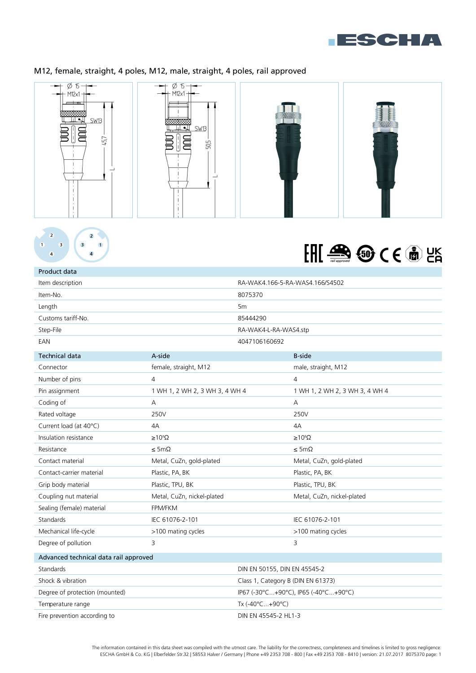

## M12, female, straight, 4 poles, M12, male, straight, 4 poles, rail approved





Product data

## EHE SO CE ON LA

| Item description                      |                                      |                       | RA-WAK4.166-5-RA-WAS4.166/S4502 |  |
|---------------------------------------|--------------------------------------|-----------------------|---------------------------------|--|
| Item-No.<br>8075370                   |                                      |                       |                                 |  |
| Length                                |                                      | 5m                    |                                 |  |
| Customs tariff-No.                    |                                      | 85444290              |                                 |  |
| Step-File                             |                                      | RA-WAK4-L-RA-WAS4.stp |                                 |  |
| EAN                                   | 4047106160692                        |                       |                                 |  |
| <b>Technical data</b>                 | A-side                               |                       | <b>B-side</b>                   |  |
| Connector                             | female, straight, M12                |                       | male, straight, M12             |  |
| Number of pins                        | 4                                    |                       | $\overline{4}$                  |  |
| Pin assignment                        | 1 WH 1, 2 WH 2, 3 WH 3, 4 WH 4       |                       | 1 WH 1, 2 WH 2, 3 WH 3, 4 WH 4  |  |
| Coding of                             | Α                                    |                       | А                               |  |
| Rated voltage                         | 250V                                 |                       | 250V                            |  |
| Current load (at 40°C)                | 4A                                   |                       | 4A                              |  |
| Insulation resistance                 | $\geq 10^8 \Omega$                   |                       | $\geq 10^8 \Omega$              |  |
| Resistance                            | $\leq$ 5m $\Omega$                   |                       | $\leq$ 5m $\Omega$              |  |
| Contact material                      | Metal, CuZn, gold-plated             |                       | Metal, CuZn, gold-plated        |  |
| Contact-carrier material              | Plastic, PA, BK                      |                       | Plastic, PA, BK                 |  |
| Grip body material                    | Plastic, TPU, BK                     |                       | Plastic, TPU, BK                |  |
| Coupling nut material                 | Metal, CuZn, nickel-plated           |                       | Metal, CuZn, nickel-plated      |  |
| Sealing (female) material             | FPM/FKM                              |                       |                                 |  |
| Standards                             | IEC 61076-2-101                      |                       | IEC 61076-2-101                 |  |
| Mechanical life-cycle                 | >100 mating cycles                   |                       | >100 mating cycles              |  |
| Degree of pollution                   | 3                                    |                       | 3                               |  |
| Advanced technical data rail approved |                                      |                       |                                 |  |
| Standards                             | DIN EN 50155, DIN EN 45545-2         |                       |                                 |  |
| Shock & vibration                     | Class 1, Category B (DIN EN 61373)   |                       |                                 |  |
| Degree of protection (mounted)        | IP67 (-30°C+90°C), IP65 (-40°C+90°C) |                       |                                 |  |
| Temperature range                     |                                      | Tx (-40°C+90°C)       |                                 |  |
| Fire prevention according to          |                                      | DIN EN 45545-2 HL1-3  |                                 |  |